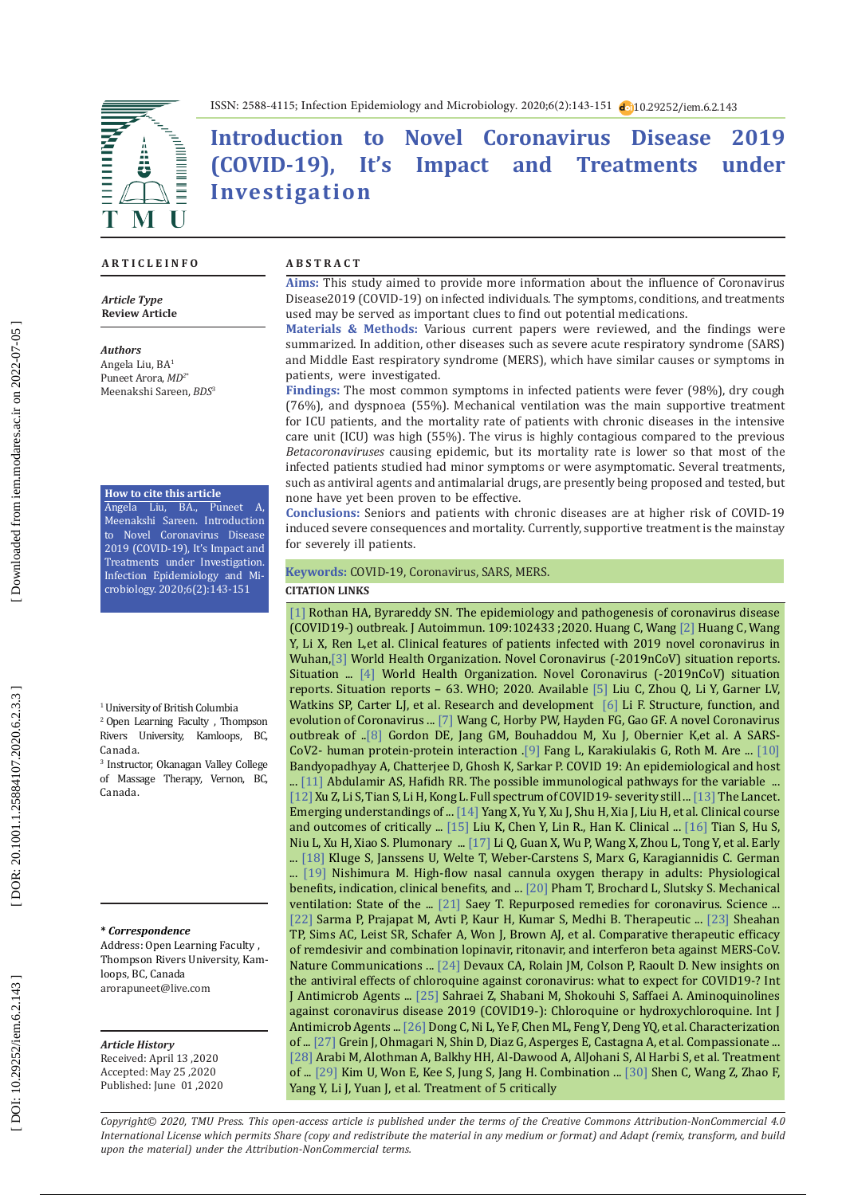

ISSN: 2588-4115; Infection Epidemiology and Microbiology. 2020;6(2):143-151 10.29252/iem.6.2.143

# **Introduction to Novel Coronavirus Disease 2019 (COVID-19), It's Impact and Treatments under Investigation**

#### **A R T I C L E I N F O A B S T R A C T**

*Article Type* **Review Article**

#### *Authors*

Angela Liu, BA 1 Puneet Arora, *MD 2* \* Meenakshi Sareen, *BDS*<sup>3</sup>

#### **How to cite this article**

Angela Liu, BA., Puneet A, Meenakshi Sareen. Introduction to Novel Coronavirus Disease 2019 (COVID-19), It's Impact and Treatments under Investigation. Infection Epidemiology and Mi crobiology. 2020;6(2):143-151

1 University of British Columbia

2 Open Learning Faculty , Thompson Rivers University, Kamloops, BC, Canada.

3 Instructor, Okanagan Valley College of Massage Therapy, Vernon, BC, Canada.

#### **\*** *Correspondence*

Address: Open Learning Faculty , Thompson Rivers University, Kam loops, BC, Canada arorapuneet@live.com

#### *Article History*

Received: April 13 ,2020 Accepted: May 25 ,2020 Published: June 01 ,2020

**Aims:** This study aimed to provide more information about the influence of Coronavirus Disease2019 (COVID-19) on infected individuals. The symptoms, conditions, and treatments used may be served as important clues to find out potential medications.

**Materials & Methods:** Various current papers were reviewed, and the findings were summarized. In addition, other diseases such as severe acute respiratory syndrome (SARS) and Middle East respiratory syndrome (MERS), which have similar causes or symptoms in patients, were investigated.

**Findings:** The most common symptoms in infected patients were fever (98%), dry cough (76%), and dyspnoea (55%). Mechanical ventilation was the main supportive treatment for ICU patients, and the mortality rate of patients with chronic diseases in the intensive care unit (ICU) was high (55%). The virus is highly contagious compared to the previous *Betacoronaviruses* causing epidemic, but its mortality rate is lower so that most of the infected patients studied had minor symptoms or were asymptomatic. Several treatments, such as antiviral agents and antimalarial drugs, are presently being proposed and tested, but none have yet been proven to be effective.

**Conclusions:** Seniors and patients with chronic diseases are at higher risk of COVID-19 induced severe consequences and mortality. Currently, supportive treatment is the mainstay for severely ill patients.

### **Keywords:** COVID-19, Coronavirus, SARS, MERS .

#### **CITATION LINKS**

[ 1 ] Rothan HA, Byrareddy SN. The epidemiology and pathogenesis of coronavirus disease (COVID19 -) outbreak. J Autoimmun. 109:102433 ;2020. Huang C, Wang [ 2 ] Huang C, Wang Y, Li X, Ren L,et al. Clinical features of patients infected with 2019 novel coronavirus in Wuhan,[3] World Health Organization. Novel Coronavirus (-2019nCoV) situation reports. Situation ... [4] World Health Organization. Novel Coronavirus (-2019nCoV) situation reports. Situation reports – 63. WHO; 2020. Available [ 5 ] Liu C, Zhou Q, Li Y, Garner LV, Watkins SP, Carter LJ, et al. Research and development [6] Li F. Structure, function, and evolution of Coronavirus ... [7] Wang C, Horby PW, Hayden FG, Gao GF. A novel Coronavirus outbreak of .. [ 8 ] Gordon DE, Jang GM, Bouhaddou M, Xu J, Obernier K,et al. A SARS-CoV2- human protein-protein interaction .[9] Fang L, Karakiulakis G, Roth M. Are ... [10] Bandyopadhyay A, Chatterjee D, Ghosh K, Sarkar P. COVID 19: An epidemiological and host ...  $[11]$  Abdulamir AS, Hafidh RR. The possible immunological pathways for the variable  $\,$  ... [12 ] Xu Z, Li S, Tian S, Li H, Kong L. Full spectrum of COVID19 - severity still ... [13 ] The Lancet. Emerging understandings of ... [14 ] Yang X, Yu Y, Xu J, Shu H, Xia J, Liu H, et al. Clinical course and outcomes of critically ...  $[15]$  Liu K, Chen Y, Lin R., Han K. Clinical ...  $[16]$  Tian S, Hu S, Niu L, Xu H, Xiao S. Plumonary ...  $[17]$  Li Q, Guan X, Wu P, Wang X, Zhou L, Tong Y, et al. Early ... [18 ] Kluge S, Janssens U, Welte T, Weber-Carstens S, Marx G, Karagiannidis C. German ... [19] Nishimura M. High-flow nasal cannula oxygen therapy in adults: Physiological benefits, indication, clinical benefits, and ...  $[20]$  Pham T, Brochard L, Slutsky S. Mechanical ventilation: State of the  $\ldots$  [21] Saey T. Repurposed remedies for coronavirus. Science  $\ldots$ [22 ] Sarma P, Prajapat M, Avti P, Kaur H, Kumar S, Medhi B. Therapeutic ... [23 ] Sheahan TP, Sims AC, Leist SR, Schafer A, Won J, Brown AJ, et al. Comparative therapeutic efficacy of remdesivir and combination lopinavir, ritonavir, and interferon beta against MERS-CoV. Nature Communications ... [24] Devaux CA, Rolain JM, Colson P, Raoult D. New insights on the antiviral effects of chloroquine against coronavirus: what to expect for COVID19 -? Int J Antimicrob Agents ... [25 ] Sahraei Z, Shabani M, Shokouhi S, Saffaei A. Aminoquinolines against coronavirus disease 2019 (COVID19 -): Chloroquine or hydroxychloroquine. Int J Antimicrob Agents ... [26 ] Dong C, Ni L, Ye F, Chen ML, Feng Y, Deng YQ, et al. Characterization of ... [27 ] Grein J, Ohmagari N, Shin D, Diaz G, Asperges E, Castagna A, et al. Compassionate ... [28 ] Arabi M, Alothman A, Balkhy HH, Al-Dawood A, AlJohani S, Al Harbi S, et al. Treatment of ... [29 ] Kim U, Won E, Kee S, Jung S, Jang H. Combination ... [30 ] Shen C, Wang Z, Zhao F, Yang Y, Li J, Yuan J, et al. Treatment of 5 critically

*Copyright© 2020, TMU Press. This open-access article is published under the terms of the Creative Commons Attribution-NonCommercial 4.0 International License which permits Share (copy and redistribute the material in any medium or format) and Adapt (remix, transform, and build upon the material) under the Attribution-NonCommercial terms.*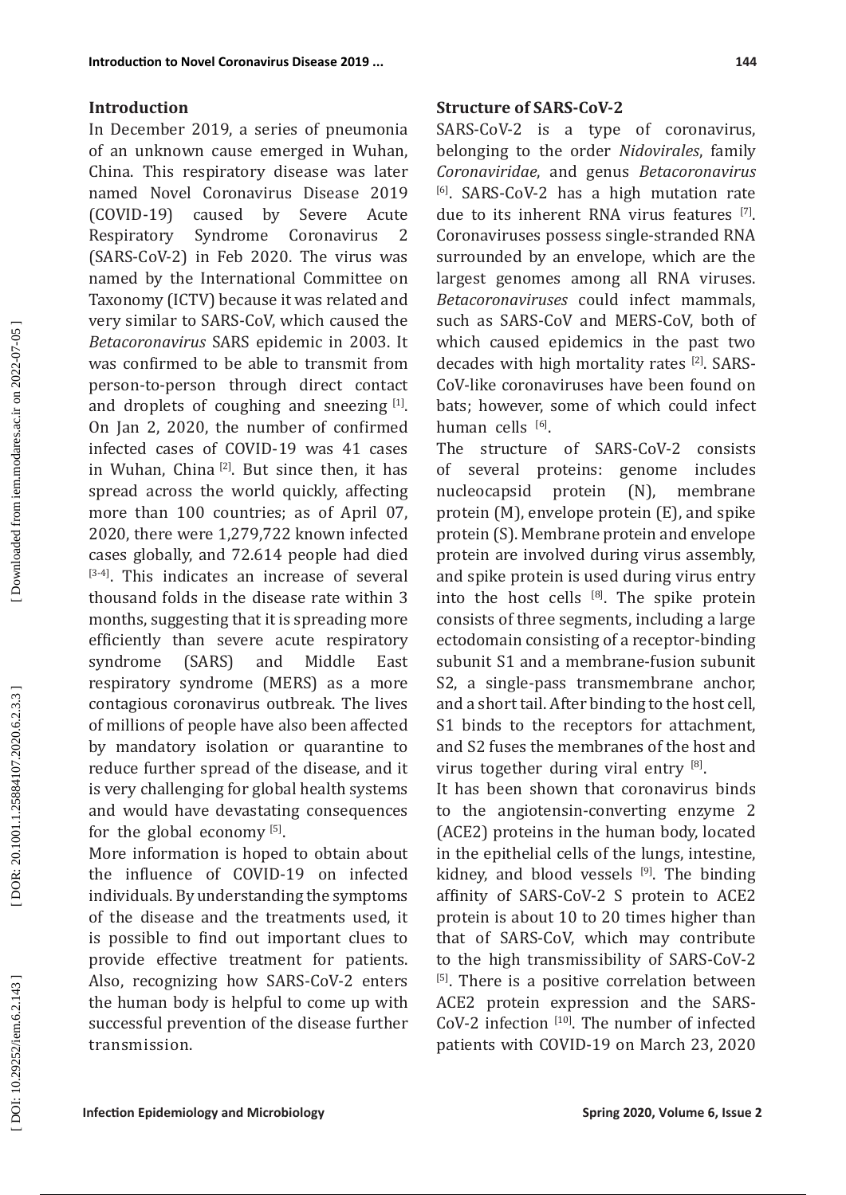## **Introduction**

In December 2019, a series of pneumonia of an unknown cause emerged in Wuhan, China. This respiratory disease was later named Novel Coronavirus Disease 2019 (COVID-19) caused by Severe Acute Respiratory Syndrome Coronavirus 2 (SARS-CoV-2) in Feb 2020. The virus was named by the International Committee on Taxonomy (ICTV) because it was related and very similar to SARS-CoV, which caused the *Betacoronavirus* SARS epidemic in 2003. It was confirmed to be able to transmit from person-to-person through direct contact and droplets of coughing and sneezing  $[1]$ . On Jan 2, 2020, the number of confirmed infected cases of COVID-19 was 41 cases in Wuhan, China [2]. But since then, it has spread across the world quickly, affecting more than 100 countries; as of April 07, 2020, there were 1,279,722 known infected cases globally, and 72.614 people had died [3-4]. This indicates an increase of several thousand folds in the disease rate within 3 months, suggesting that it is spreading more efficiently than severe acute respiratory<br>syndrome (SARS) and Middle East syndrome (SARS) and Middle East respiratory syndrome (MERS) as a more contagious coronavirus outbreak. The lives of millions of people have also been affected by mandatory isolation or quarantine to reduce further spread of the disease, and it is very challenging for global health systems and would have devastating consequences for the global economy  $[5]$ .

More information is hoped to obtain about the influence of COVID-19 on infected individuals. By understanding the symptoms of the disease and the treatments used, it is possible to find out important clues to provide effective treatment for patients. Also, recognizing how SARS-CoV-2 enters the human body is helpful to come up with successful prevention of the disease further transmission.

## **Structure of SARS-CoV-2**

SARS-CoV-2 is a type of coronavirus, belonging to the order *Nidovirales*, family *Coronaviridae*, and genus *Betacoronavirus* [6]. SARS-CoV-2 has a high mutation rate due to its inherent RNA virus features [7]. Coronaviruses possess single-stranded RNA surrounded by an envelope, which are the largest genomes among all RNA viruses. *Betacoronaviruses* could infect mammals, such as SARS-CoV and MERS-CoV, both of which caused epidemics in the past two decades with high mortality rates [2]. SARS-CoV-like coronaviruses have been found on bats; however, some of which could infect human cells <sup>[6]</sup>.

The structure of SARS-CoV-2 consists of several proteins: genome includes<br>nucleocapsid protein (N), membrane nucleocapsid protein (N), membrane protein (M), envelope protein (E), and spike protein (S). Membrane protein and envelope protein are involved during virus assembly, and spike protein is used during virus entry into the host cells  $[8]$ . The spike protein consists of three segments, including a large ectodomain consisting of a receptor-binding subunit S1 and a membrane-fusion subunit S2, a single-pass transmembrane anchor, and a short tail. After binding to the host cell, S1 binds to the receptors for attachment, and S2 fuses the membranes of the host and virus together during viral entry [8].

It has been shown that coronavirus binds to the angiotensin-converting enzyme 2 (ACE2) proteins in the human body, located in the epithelial cells of the lungs, intestine, kidney, and blood vessels  $[9]$ . The binding affinity of SARS-CoV-2 S protein to ACE2 protein is about 10 to 20 times higher than that of SARS-CoV, which may contribute to the high transmissibility of SARS-CoV-2 [5]. There is a positive correlation between ACE2 protein expression and the SARS-CoV-2 infection [10]. The number of infected patients with COVID-19 on March 23, 2020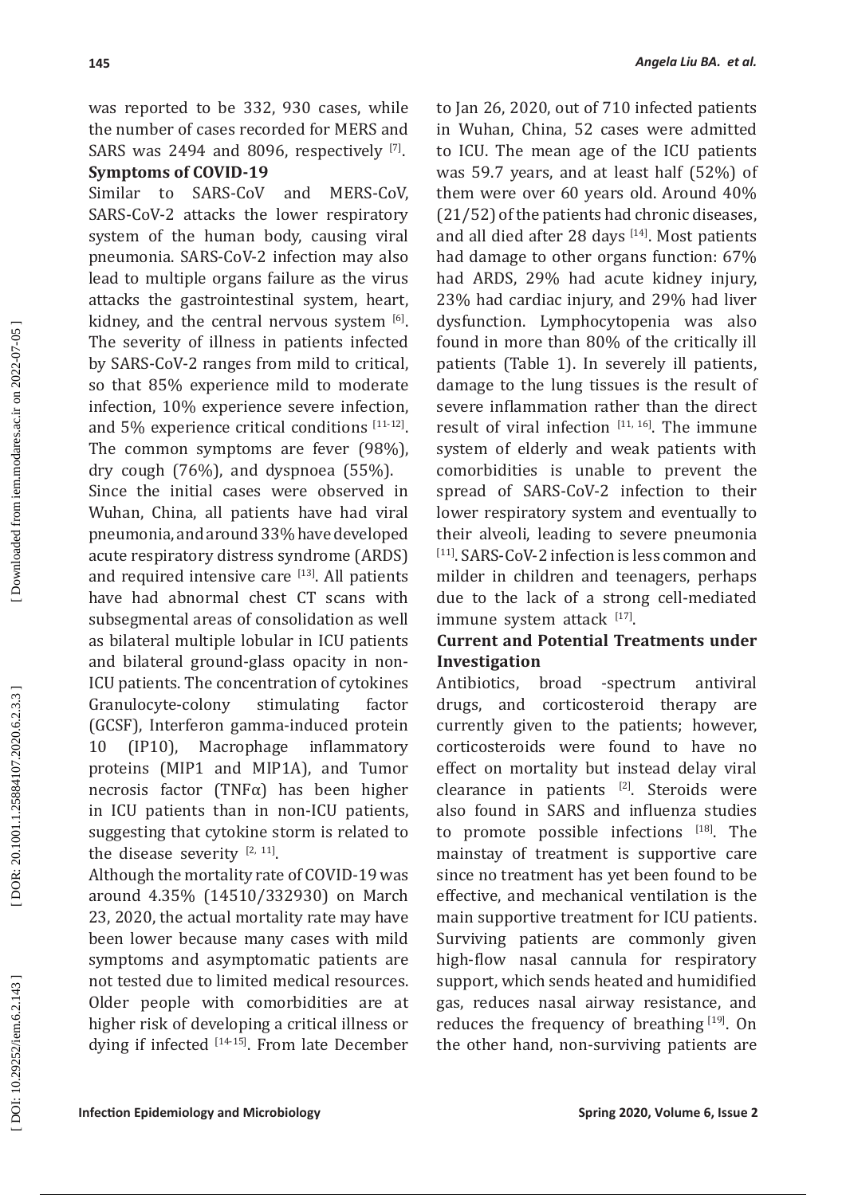was reported to be 332, 930 cases, while the number of cases recorded for MERS and SARS was 2494 and 8096, respectively  $^{[7]}$ .

## **Symptoms of COVID-19**

Similar to SARS-CoV and MERS-CoV, SARS-CoV-2 attacks the lower respiratory system of the human body, causing viral pneumonia. SARS-CoV-2 infection may also lead to multiple organs failure as the virus attacks the gastrointestinal system, heart, kidney, and the central nervous system [6]. The severity of illness in patients infected by SARS-CoV-2 ranges from mild to critical, so that 85% experience mild to moderate infection, 10% experience severe infection, and 5% experience critical conditions [11-12]. The common symptoms are fever (98%), dry cough (76%), and dyspnoea (55%). Since the initial cases were observed in Wuhan, China, all patients have had viral pneumonia, and around 33% have developed acute respiratory distress syndrome (ARDS) and required intensive care  $[13]$ . All patients have had abnormal chest CT scans with subsegmental areas of consolidation as well as bilateral multiple lobular in ICU patients and bilateral ground-glass opacity in non-ICU patients. The concentration of cytokines<br>Granulocyte-colony stimulating factor Granulocyte-colony stimulating factor (GCSF), Interferon gamma-induced protein 10 (IP10), Macrophage inflammatory proteins (MIP1 and MIP1A), and Tumor necrosis factor (TNFα) has been higher in ICU patients than in non-ICU patients, suggesting that cytokine storm is related to the disease severity  $[2, 11]$ .

Although the mortality rate of COVID-19 was around 4.35% (14510/332930) on March 23, 2020, the actual mortality rate may have been lower because many cases with mild symptoms and asymptomatic patients are not tested due to limited medical resources. Older people with comorbidities are at higher risk of developing a critical illness or dying if infected  $[14-15]$ . From late December to Jan 26, 2020, out of 710 infected patients in Wuhan, China, 52 cases were admitted to ICU. The mean age of the ICU patients was 59.7 years, and at least half (52%) of them were over 60 years old. Around 40% (21/52) of the patients had chronic diseases, and all died after 28 days [14]. Most patients had damage to other organs function: 67% had ARDS, 29% had acute kidney injury, 23% had cardiac injury, and 29% had liver dysfunction. Lymphocytopenia was also found in more than 80% of the critically ill patients (Table 1). In severely ill patients, damage to the lung tissues is the result of severe inflammation rather than the direct result of viral infection  $[11, 16]$ . The immune system of elderly and weak patients with comorbidities is unable to prevent the spread of SARS-CoV-2 infection to their lower respiratory system and eventually to their alveoli, leading to severe pneumonia [11]. SARS-CoV-2 infection is less common and milder in children and teenagers, perhaps due to the lack of a strong cell-mediated  $\lim_{\text{m}}$  immune system attack  $\lim_{n \to \infty}$ 

## **Current and Potential Treatments under Investigation**

Antibiotics, broad -spectrum antiviral drugs, and corticosteroid therapy are currently given to the patients; however, corticosteroids were found to have no effect on mortality but instead delay viral clearance in patients  $[2]$ . Steroids were also found in SARS and influenza studies to promote possible infections  $[18]$ . The mainstay of treatment is supportive care since no treatment has yet been found to be effective, and mechanical ventilation is the main supportive treatment for ICU patients. Surviving patients are commonly given high-flow nasal cannula for respiratory support, which sends heated and humidified gas, reduces nasal airway resistance, and reduces the frequency of breathing  $[19]$ . On the other hand, non-surviving patients are

Downloaded from iem.modares.ac.ir on 2022-07-05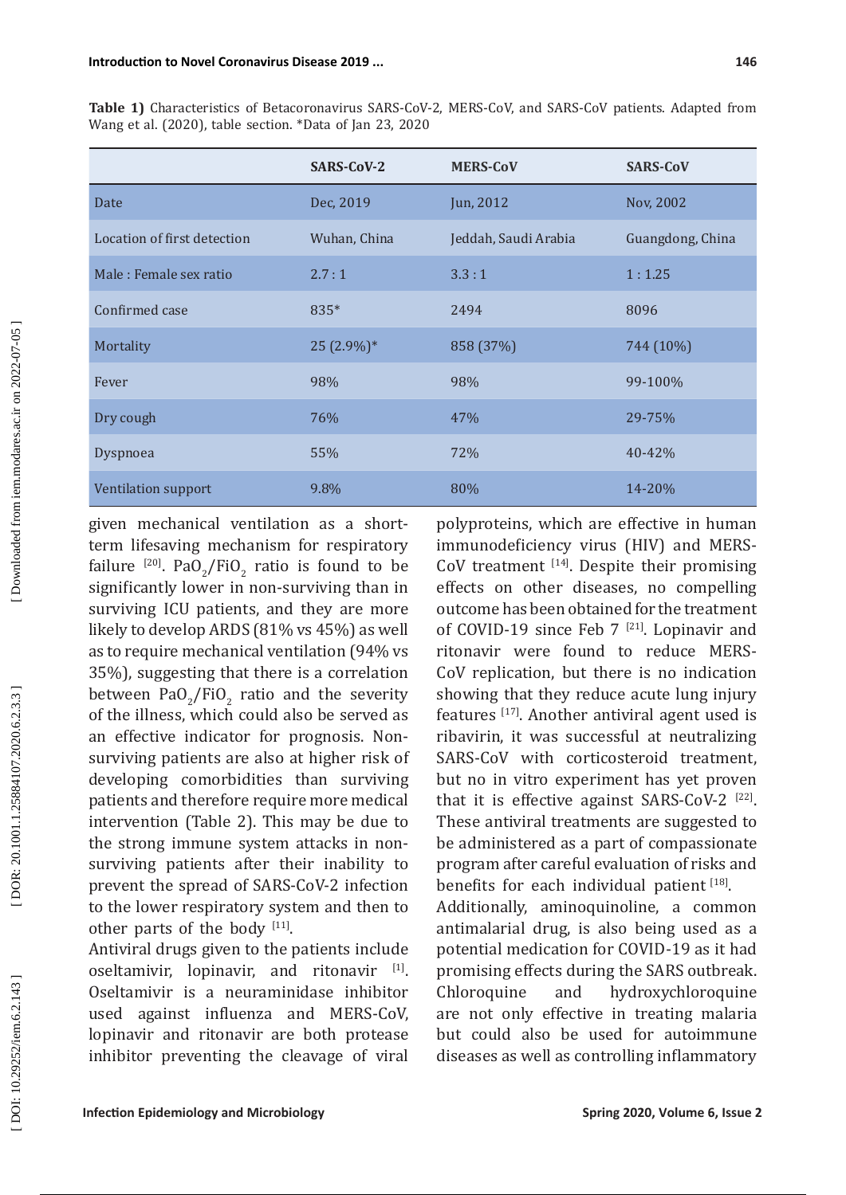|                             | <b>SARS-CoV-2</b> | <b>MERS-CoV</b>      | <b>SARS-CoV</b>  |
|-----------------------------|-------------------|----------------------|------------------|
| Date                        | Dec, 2019         | Jun, 2012            | Nov, 2002        |
| Location of first detection | Wuhan, China      | Jeddah, Saudi Arabia | Guangdong, China |
| Male: Female sex ratio      | 2.7:1             | 3.3:1                | 1:1.25           |
| Confirmed case              | 835*              | 2494                 | 8096             |
| Mortality                   | $25(2.9\%)*$      | 858 (37%)            | 744 (10%)        |
| Fever                       | 98%               | 98%                  | 99-100%          |
| Dry cough                   | 76%               | 47%                  | 29-75%           |
| Dyspnoea                    | 55%               | 72%                  | $40 - 42%$       |
| Ventilation support         | 9.8%              | 80%                  | 14-20%           |

**Table 1)** Characteristics of Betacoronavirus SARS-CoV-2, MERS-CoV, and SARS-CoV patients. Adapted from Wang et al. (2020), table section. \*Data of Jan 23, 2020

given mechanical ventilation as a shortterm lifesaving mechanism for respiratory failure  $^{[20]}$ . PaO<sub>2</sub>/FiO<sub>2</sub> ratio is found to be significantly lower in non-surviving than in surviving ICU patients, and they are more likely to develop ARDS (81% vs 45%) as well as to require mechanical ventilation (94% vs 35%), suggesting that there is a correlation between  $PaO_2/FlO_2$  ratio and the severity of the illness, which could also be served as an effective indicator for prognosis. Nonsurviving patients are also at higher risk of developing comorbidities than surviving patients and therefore require more medical intervention (Table 2). This may be due to the strong immune system attacks in nonsurviving patients after their inability to prevent the spread of SARS-CoV-2 infection to the lower respiratory system and then to other parts of the body  $[11]$ .

Antiviral drugs given to the patients include oseltamivir, lopinavir, and ritonavir [1]. Oseltamivir is a neuraminidase inhibitor used against influenza and MERS-CoV, lopinavir and ritonavir are both protease inhibitor preventing the cleavage of viral

polyproteins, which are effective in human immunodeficiency virus (HIV) and MERS- $CoV$  treatment  $[14]$ . Despite their promising effects on other diseases, no compelling outcome has been obtained for the treatment of COVID-19 since Feb  $7^{[21]}$ . Lopinavir and ritonavir were found to reduce MERS-CoV replication, but there is no indication showing that they reduce acute lung injury features [17]. Another antiviral agent used is ribavirin, it was successful at neutralizing SARS-CoV with corticosteroid treatment, but no in vitro experiment has yet proven that it is effective against SARS-CoV-2<sup>[22]</sup>. These antiviral treatments are suggested to be administered as a part of compassionate program after careful evaluation of risks and benefits for each individual patient  $[18]$ .

Additionally, aminoquinoline, a common antimalarial drug, is also being used as a potential medication for COVID-19 as it had promising effects during the SARS outbreak.<br>Chloroquine and hydroxychloroquine Chloroquine and hydroxychloroquine are not only effective in treating malaria but could also be used for autoimmune diseases as well as controlling inflammatory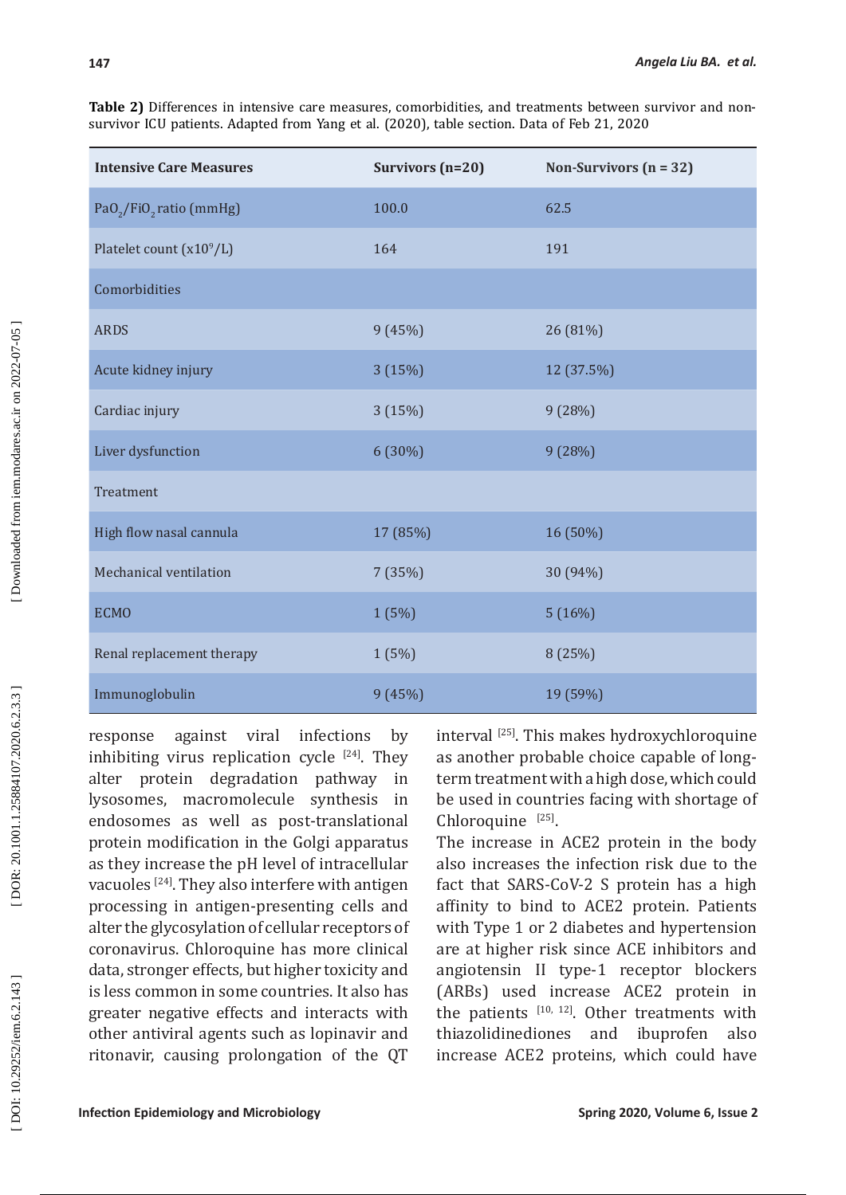**Table 2)** Differences in intensive care measures, comorbidities, and treatments between survivor and nonsurvivor ICU patients. Adapted from Yang et al. (2020), table section. Data of Feb 21, 2020

| <b>Intensive Care Measures</b>       | Survivors $(n=20)$ | Non-Survivors $(n = 32)$ |
|--------------------------------------|--------------------|--------------------------|
| $PaO_2/FiO_2$ ratio (mmHg)           | 100.0              | 62.5                     |
| Platelet count (x10 <sup>9</sup> /L) | 164                | 191                      |
| Comorbidities                        |                    |                          |
| <b>ARDS</b>                          | 9(45%)             | 26 (81%)                 |
| Acute kidney injury                  | 3 (15%)            | 12 (37.5%)               |
| Cardiac injury                       | 3(15%)             | 9 (28%)                  |
| Liver dysfunction                    | 6 (30%)            | 9 (28%)                  |
| Treatment                            |                    |                          |
| High flow nasal cannula              | 17 (85%)           | 16 (50%)                 |
| Mechanical ventilation               | 7 (35%)            | 30 (94%)                 |
| <b>ECMO</b>                          | 1(5%)              | 5(16%)                   |
| Renal replacement therapy            | 1 (5%)             | 8 (25%)                  |
| Immunoglobulin                       | 9(45%)             | 19 (59%)                 |

response against viral infections by inhibiting virus replication cycle  $[24]$ . They alter protein degradation pathway in lysosomes, macromolecule synthesis in endosomes as well as post-translational protein modification in the Golgi apparatus as they increase the pH level of intracellular vacuoles [24]. They also interfere with antigen processing in antigen-presenting cells and alter the glycosylation of cellular receptors of coronavirus. Chloroquine has more clinical data, stronger effects, but higher toxicity and is less common in some countries. It also has greater negative effects and interacts with other antiviral agents such as lopinavir and ritonavir, causing prolongation of the QT interval  $^{[25]}$ . This makes hydroxychloroquine as another probable choice capable of longterm treatment with a high dose, which could be used in countries facing with shortage of  $Chloroquine$ <sup>[25]</sup>.

The increase in ACE2 protein in the body also increases the infection risk due to the fact that SARS-CoV-2 S protein has a high affinity to bind to ACE2 protein. Patients with Type 1 or 2 diabetes and hypertension are at higher risk since ACE inhibitors and angiotensin II type-1 receptor blockers (ARBs) used increase ACE2 protein in the patients  $[10, 12]$ . Other treatments with thiazolidinediones and ibuprofen also increase ACE2 proteins, which could have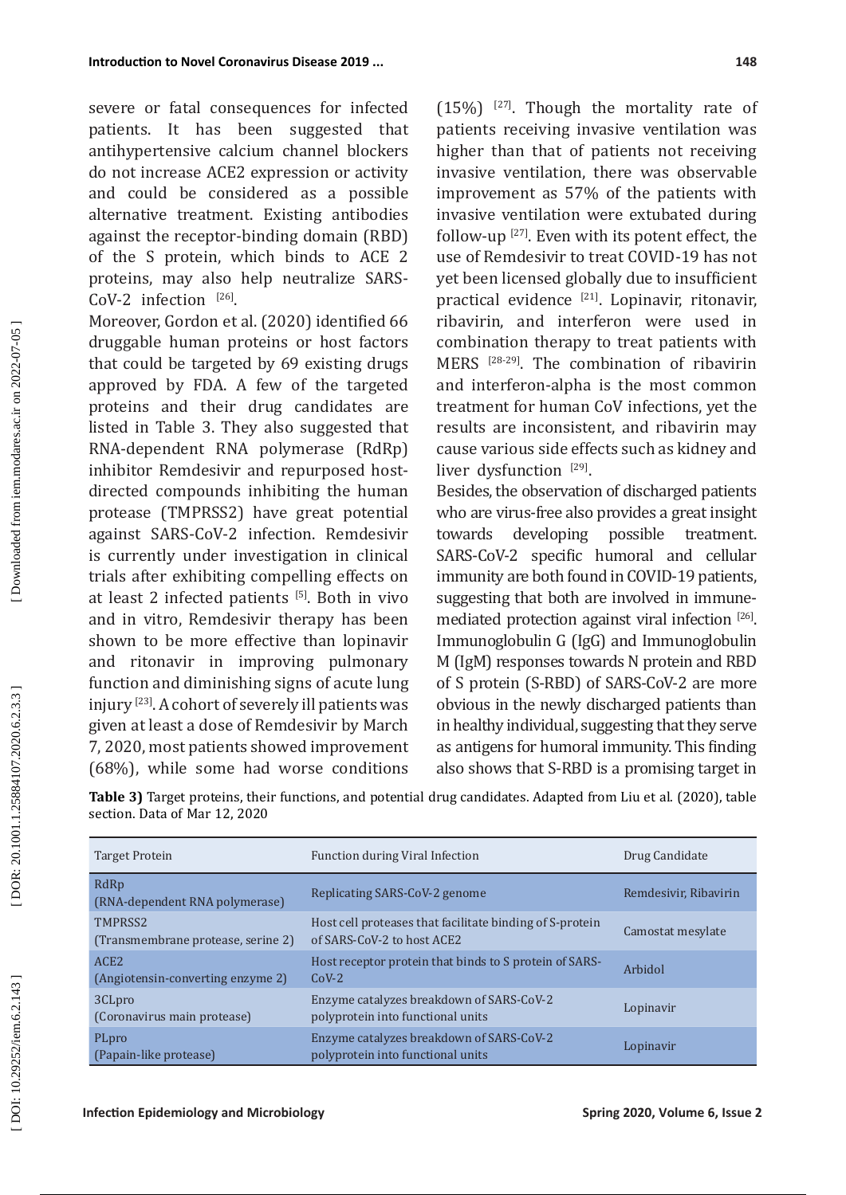severe or fatal consequences for infected patients. It has been suggested that antihypertensive calcium channel blockers do not increase ACE2 expression or activity and could be considered as a possible alternative treatment. Existing antibodies against the receptor-binding domain (RBD) of the S protein, which binds to ACE 2 proteins, may also help neutralize SARS-CoV-2 infection [26].

Moreover, Gordon et al. (2020) identified 66 druggable human proteins or host factors that could be targeted by 69 existing drugs approved by FDA. A few of the targeted proteins and their drug candidates are listed in Table 3. They also suggested that RNA-dependent RNA polymerase (RdRp) inhibitor Remdesivir and repurposed hostdirected compounds inhibiting the human protease (TMPRSS2) have great potential against SARS-CoV-2 infection. Remdesivir is currently under investigation in clinical trials after exhibiting compelling effects on at least 2 infected patients [5]. Both in vivo and in vitro, Remdesivir therapy has been shown to be more effective than lopinavir and ritonavir in improving pulmonary function and diminishing signs of acute lung injury [23]. A cohort of severely ill patients was given at least a dose of Remdesivir by March 7, 2020, most patients showed improvement (68%), while some had worse conditions

 $(15%)$  <sup>[27]</sup>. Though the mortality rate of patients receiving invasive ventilation was higher than that of patients not receiving invasive ventilation, there was observable improvement as 57% of the patients with invasive ventilation were extubated during follow-up [27]. Even with its potent effect, the use of Remdesivir to treat COVID-19 has not yet been licensed globally due to insufficient practical evidence [21]. Lopinavir, ritonavir, ribavirin, and interferon were used in combination therapy to treat patients with MERS [28-29]. The combination of ribavirin and interferon-alpha is the most common treatment for human CoV infections, yet the results are inconsistent, and ribavirin may cause various side effects such as kidney and liver dysfunction [29].

Besides, the observation of discharged patients who are virus-free also provides a great insight<br>towards developing possible treatment. possible treatment. SARS-CoV-2 specific humoral and cellular immunity are both found in COVID-19 patients, suggesting that both are involved in immunemediated protection against viral infection [26]. Immunoglobulin G (IgG) and Immunoglobulin M (IgM) responses towards N protein and RBD of S protein (S-RBD) of SARS-CoV-2 are more obvious in the newly discharged patients than in healthy individual, suggesting that they serve as antigens for humoral immunity. This finding also shows that S-RBD is a promising target in

**Table 3)** Target proteins, their functions, and potential drug candidates. Adapted from Liu et al. (2020), table section. Data of Mar 12, 2020

Replicating SARS-CoV-2 genome Remdesivir, Ribavirin

Target Protein **Function during Viral Infection Function** Drug Candidate

| TRIVA-dependent Kiva polymerase)                      |                                                                                        |                   |
|-------------------------------------------------------|----------------------------------------------------------------------------------------|-------------------|
| TMPRSS2<br>(Transmembrane protease, serine 2)         | Host cell proteases that facilitate binding of S-protein<br>of SARS-CoV-2 to host ACE2 | Camostat mesylate |
| ACE <sub>2</sub><br>(Angiotensin-converting enzyme 2) | Host receptor protein that binds to S protein of SARS-<br>$COV-2$                      | Arbidol           |
| 3CLpro<br>(Coronavirus main protease)                 | Enzyme catalyzes breakdown of SARS-CoV-2<br>polyprotein into functional units          | Lopinavir         |
| PLpro<br>(Papain-like protease)                       | Enzyme catalyzes breakdown of SARS-CoV-2<br>polyprotein into functional units          | Lopinavir         |
|                                                       |                                                                                        |                   |

DOI: 10.29252/iem.6.2.143

RdRp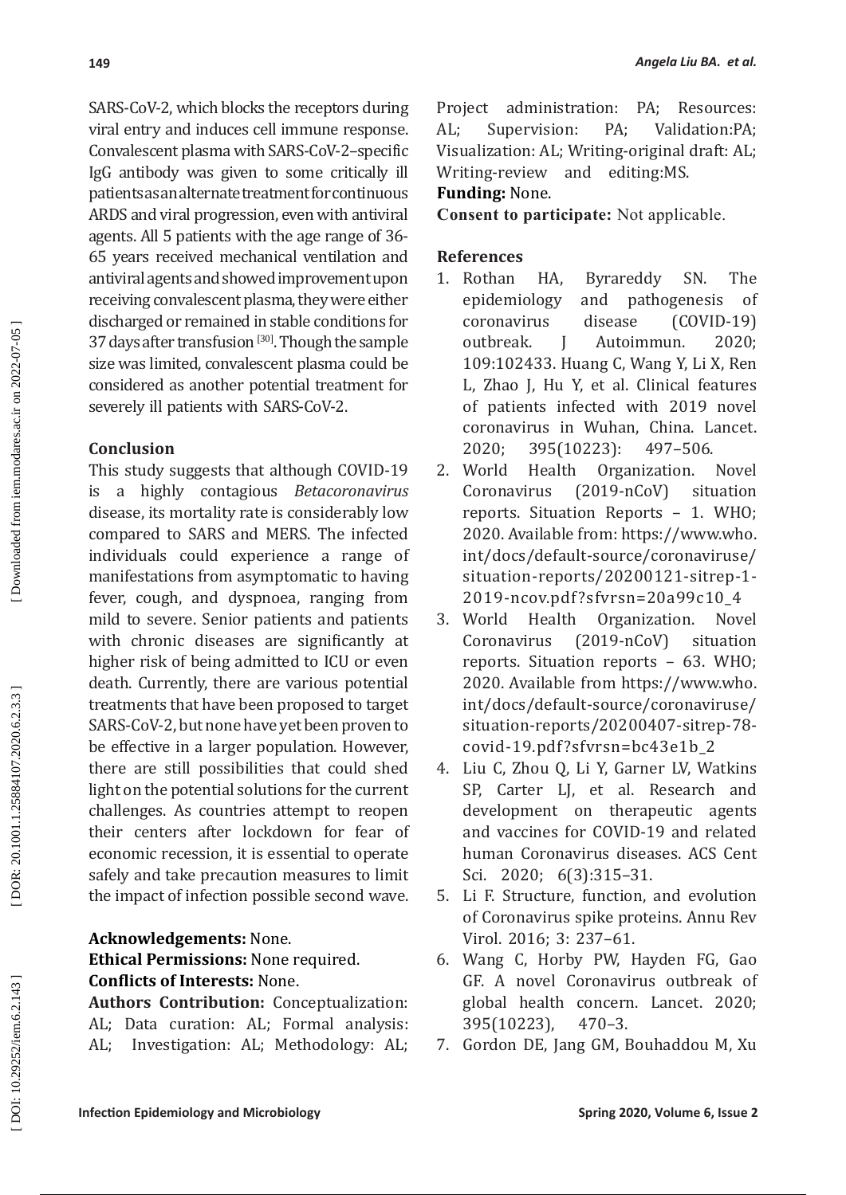SARS-CoV-2, which blocks the receptors during viral entry and induces cell immune response. Convalescent plasma with SARS-CoV-2–specific IgG antibody was given to some critically ill patients as an alternate treatment for continuous ARDS and viral progression, even with antiviral agents. All 5 patients with the age range of 36- 65 years received mechanical ventilation and antiviral agents and showed improvement upon receiving convalescent plasma, they were either discharged or remained in stable conditions for 37 days after transfusion  $[30]$ . Though the sample size was limited, convalescent plasma could be considered as another potential treatment for severely ill patients with SARS-CoV-2.

## **Conclusion**

This study suggests that although COVID-19 is a highly contagious *Betacoronavirus* disease, its mortality rate is considerably low compared to SARS and MERS. The infected individuals could experience a range of manifestations from asymptomatic to having fever, cough, and dyspnoea, ranging from mild to severe. Senior patients and patients with chronic diseases are significantly at higher risk of being admitted to ICU or even death. Currently, there are various potential treatments that have been proposed to target SARS-CoV-2, but none have yet been proven to be effective in a larger population. However, there are still possibilities that could shed light on the potential solutions for the current challenges. As countries attempt to reopen their centers after lockdown for fear of economic recession, it is essential to operate safely and take precaution measures to limit the impact of infection possible second wave.

**Acknowledgements:** None. **Ethical Permissions:** None required. **Conflicts of Interests:** None.

**Authors Contribution:** Conceptualization: AL; Data curation: AL; Formal analysis: AL; Investigation: AL; Methodology: AL; Project administration: PA; Resources: AL; Supervision: PA; Validation:PA; Visualization: AL; Writing-original draft: AL; Writing-review and editing:MS.

## **Funding:** None.

**Consent to participate:** Not applicable.

## **References**

- 1. Rothan HA, Byrareddy SN. The epidemiology and pathogenesis of<br>coronavirus disease (COVID-19)  $(COVID-19)$ outbreak. J Autoimmun. 2020; 109:102433. Huang C, Wang Y, Li X, Ren L, Zhao J, Hu Y, et al. Clinical features of patients infected with 2019 novel coronavirus in Wuhan, China. Lancet.<br>2020: 395(10223): 497-506. 2020; 395(10223):
- 2. World Health Organization. Novel<br>Coronavirus (2019-nCoV) situation  $(2019-nCoV)$ reports. Situation Reports – 1. WHO; 2020. Available from: https://www.who . int/docs/default-source/coronaviruse/ situation-reports/20200121-sitrep-1- 2019-ncov.pdf ?sfvrsn=20a99c10\_4
- Organization. Novel Coronavirus (2019-nCoV) situation reports. Situation reports – 63. WHO; 2020. Available from https://www.who. int/docs/default-source/coronaviruse/ situation-reports/20200407-sitrep-78 covid-19.pdf?sfvrsn=bc43e1b\_2
- 4. Liu C, Zhou Q, Li Y, Garner LV, Watkins SP, Carter LJ, et al. Research and development on therapeutic agents and vaccines for COVID-19 and related human Coronavirus diseases. ACS Cent Sci. 2020; 6(3):315–31.
- 5. Li F. Structure, function, and evolution of Coronavirus spike proteins. Annu Rev Virol. 2016; 3: 237–61.
- 6. Wang C, Horby PW, Hayden FG, Gao GF. A novel Coronavirus outbreak of global health concern. Lancet. 2020; 395(10223), 470–3.
- 7. Gordon DE, Jang GM, Bouhaddou M, Xu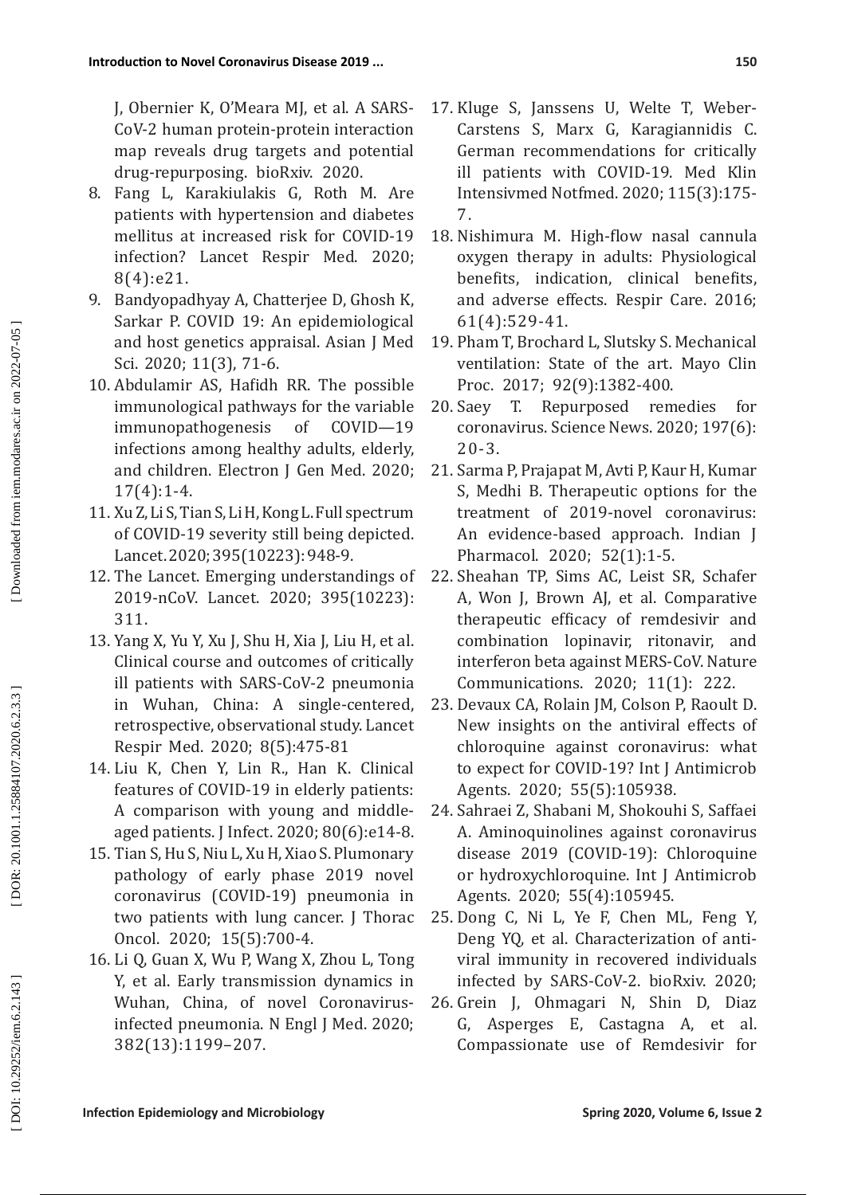J, Obernier K, O'Meara MJ, et al. A SARS-CoV-2 human protein-protein interaction map reveals drug targets and potential drug-repurposing. bioRxiv. 2020.

- 8. Fang L, Karakiulakis G, Roth M. Are patients with hypertension and diabetes mellitus at increased risk for COVID-19 infection? Lancet Respir Med. 2020; 8(4):e21.
- 9. Bandyopadhyay A, Chatterjee D, Ghosh K, Sarkar P. COVID 19: An epidemiological and host genetics appraisal. Asian J Med Sci. 2020; 11(3), 71-6.
- 10. Abdulamir AS, Hafidh RR. The possible immunological pathways for the variable immunopathogenesis of COVID—19 infections among healthy adults, elderly, and children. Electron J Gen Med. 2020; 17(4):1-4.
- 11. Xu Z, Li S, Tian S, Li H, Kong L. Full spectrum of COVID-19 severity still being depicted. Lancet. 2020; 395(10223): 948-9.
- 12. The Lancet. Emerging understandings of 2019-nCoV. Lancet. 2020; 395(10223): 311.
- 13. Yang X, Yu Y, Xu J, Shu H, Xia J, Liu H, et al. Clinical course and outcomes of critically ill patients with SARS-CoV-2 pneumonia in Wuhan, China: A single-centered, retrospective, observational study. Lancet Respir Med. 2020; 8(5):475-81
- 14. Liu K, Chen Y, Lin R., Han K. Clinical features of COVID-19 in elderly patients: A comparison with young and middleaged patients. J Infect. 2020; 80(6):e14-8.
- 15. Tian S, Hu S, Niu L, Xu H, Xiao S. Plumonary pathology of early phase 2019 novel coronavirus (COVID-19) pneumonia in two patients with lung cancer. J Thorac Oncol. 2020; 15(5):700-4.
- 16. Li Q, Guan X, Wu P, Wang X, Zhou L, Tong Y, et al. Early transmission dynamics in Wuhan, China, of novel Coronavirusinfected pneumonia. N Engl J Med. 2020; 382(13):1199–207.
- 17. Kluge S, Janssens U, Welte T, Weber-Carstens S, Marx G, Karagiannidis C. German recommendations for critically ill patients with COVID-19. Med Klin Intensivmed Notfmed. 2020; 115(3):175- 7.
- 18. Nishimura M. High-flow nasal cannula oxygen therapy in adults: Physiological benefits, indication, clinical benefits, and adverse effects. Respir Care. 2016; 61(4):529 -41.
- 19. Pham T, Brochard L, Slutsky S. Mechanical ventilation: State of the art. Mayo Clin Proc. 2017; 92(9):1382 -400.
- 20. Saey T. Repurposed remedies for coronavirus. Science News. 2020; 197(6): 20-3.
- 21. Sarma P, Prajapat M, Avti P, Kaur H, Kumar S, Medhi B. Therapeutic options for the treatment of 2019-novel coronavirus: An evidence-based approach. Indian J Pharmacol. 2020; 52(1):1-5.
- 22. Sheahan TP, Sims AC, Leist SR, Schafer A, Won J, Brown AJ, et al. Comparative therapeutic efficacy of remdesivir and combination lopinavir, ritonavir, and interferon beta against MERS-CoV. Nature Communications. 2020; 11(1): 222.
- 23. Devaux CA, Rolain JM, Colson P, Raoult D. New insights on the antiviral effects of chloroquine against coronavirus: what to expect for COVID-19? Int J Antimicrob Agents. 2020; 55(5):105938.
- 24. Sahraei Z, Shabani M, Shokouhi S, Saffaei A. Aminoquinolines against coronavirus disease 2019 (COVID-19): Chloroquine or hydroxychloroquine. Int J Antimicrob Agents. 2020; 55(4):105945.
- 25. Dong C, Ni L, Ye F, Chen ML, Feng Y, Deng YQ, et al. Characterization of antiviral immunity in recovered individuals infected by SARS-CoV-2. bioRxiv. 2020;
- 26. Grein J, Ohmagari N, Shin D, Diaz G, Asperges E, Castagna A, et al. Compassionate use of Remdesivir for

DOI: 10.29252/iem.6.2.143